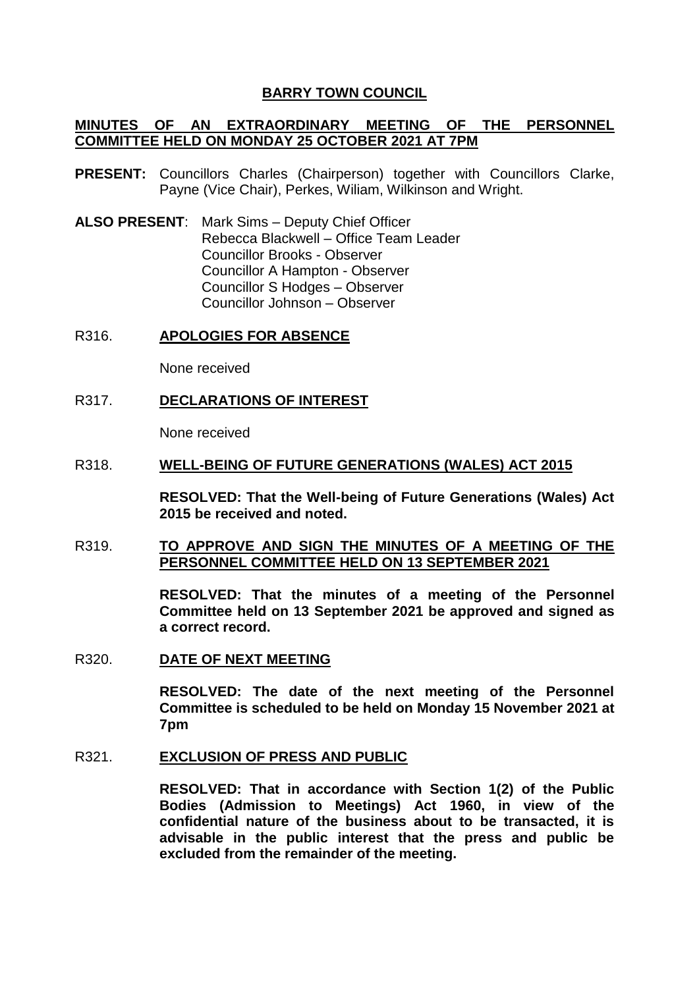### **BARRY TOWN COUNCIL**

## **MINUTES OF AN EXTRAORDINARY MEETING OF THE PERSONNEL COMMITTEE HELD ON MONDAY 25 OCTOBER 2021 AT 7PM**

- **PRESENT:** Councillors Charles (Chairperson) together with Councillors Clarke, Payne (Vice Chair), Perkes, Wiliam, Wilkinson and Wright.
- **ALSO PRESENT**: Mark Sims Deputy Chief Officer Rebecca Blackwell – Office Team Leader Councillor Brooks - Observer Councillor A Hampton - Observer Councillor S Hodges – Observer Councillor Johnson – Observer

### R316. **APOLOGIES FOR ABSENCE**

None received

### R317. **DECLARATIONS OF INTEREST**

None received

#### R318. **WELL-BEING OF FUTURE GENERATIONS (WALES) ACT 2015**

**RESOLVED: That the Well-being of Future Generations (Wales) Act 2015 be received and noted.**

## R319. **TO APPROVE AND SIGN THE MINUTES OF A MEETING OF THE PERSONNEL COMMITTEE HELD ON 13 SEPTEMBER 2021**

**RESOLVED: That the minutes of a meeting of the Personnel Committee held on 13 September 2021 be approved and signed as a correct record.** 

R320. **DATE OF NEXT MEETING** 

**RESOLVED: The date of the next meeting of the Personnel Committee is scheduled to be held on Monday 15 November 2021 at 7pm**

#### R321. **EXCLUSION OF PRESS AND PUBLIC**

**RESOLVED: That in accordance with Section 1(2) of the Public Bodies (Admission to Meetings) Act 1960, in view of the confidential nature of the business about to be transacted, it is advisable in the public interest that the press and public be excluded from the remainder of the meeting.**